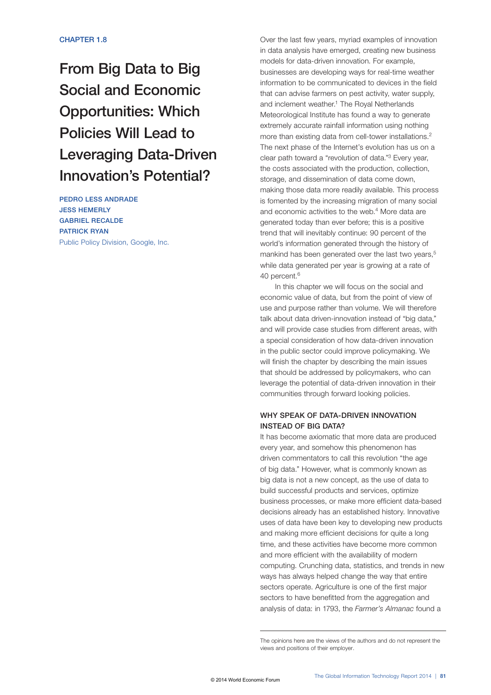# From Big Data to Big Social and Economic Opportunities: Which Policies Will Lead to Leveraging Data-Driven Innovation's Potential?

PEDRO LESS ANDRADE JESS HEMERLY GABRIEL RECALDE PATRICK RYAN Public Policy Division, Google, Inc. Over the last few years, myriad examples of innovation in data analysis have emerged, creating new business models for data-driven innovation. For example, businesses are developing ways for real-time weather information to be communicated to devices in the field that can advise farmers on pest activity, water supply, and inclement weather.<sup>1</sup> The Royal Netherlands Meteorological Institute has found a way to generate extremely accurate rainfall information using nothing more than existing data from cell-tower installations.<sup>2</sup> The next phase of the Internet's evolution has us on a clear path toward a "revolution of data."3 Every year, the costs associated with the production, collection, storage, and dissemination of data come down, making those data more readily available. This process is fomented by the increasing migration of many social and economic activities to the web.<sup>4</sup> More data are generated today than ever before; this is a positive trend that will inevitably continue: 90 percent of the world's information generated through the history of mankind has been generated over the last two years,<sup>5</sup> while data generated per year is growing at a rate of 40 percent.<sup>6</sup>

In this chapter we will focus on the social and economic value of data, but from the point of view of use and purpose rather than volume. We will therefore talk about data driven-innovation instead of "big data," and will provide case studies from different areas, with a special consideration of how data-driven innovation in the public sector could improve policymaking. We will finish the chapter by describing the main issues that should be addressed by policymakers, who can leverage the potential of data-driven innovation in their communities through forward looking policies.

# WHY SPEAK OF DATA-DRIVEN INNOVATION INSTEAD OF BIG DATA?

It has become axiomatic that more data are produced every year, and somehow this phenomenon has driven commentators to call this revolution "the age of big data." However, what is commonly known as big data is not a new concept, as the use of data to build successful products and services, optimize business processes, or make more efficient data-based decisions already has an established history. Innovative uses of data have been key to developing new products and making more efficient decisions for quite a long time, and these activities have become more common and more efficient with the availability of modern computing. Crunching data, statistics, and trends in new ways has always helped change the way that entire sectors operate. Agriculture is one of the first major sectors to have benefitted from the aggregation and analysis of data: in 1793, the *Farmer's Almanac* found a

The opinions here are the views of the authors and do not represent the views and positions of their employer.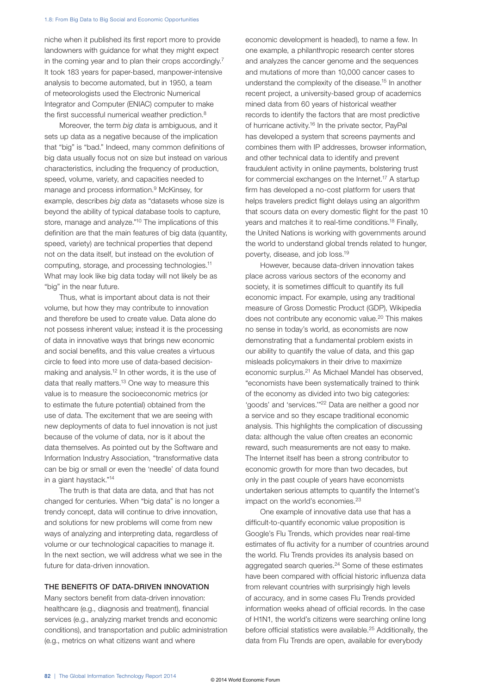niche when it published its first report more to provide landowners with guidance for what they might expect in the coming year and to plan their crops accordingly.<sup>7</sup> It took 183 years for paper-based, manpower-intensive analysis to become automated, but in 1950, a team of meteorologists used the Electronic Numerical Integrator and Computer (ENIAC) computer to make the first successful numerical weather prediction.<sup>8</sup>

Moreover, the term *big data* is ambiguous, and it sets up data as a negative because of the implication that "big" is "bad." Indeed, many common definitions of big data usually focus not on size but instead on various characteristics, including the frequency of production, speed, volume, variety, and capacities needed to manage and process information.9 McKinsey, for example, describes *big data* as "datasets whose size is beyond the ability of typical database tools to capture, store, manage and analyze."10 The implications of this definition are that the main features of big data (quantity, speed, variety) are technical properties that depend not on the data itself, but instead on the evolution of computing, storage, and processing technologies.11 What may look like big data today will not likely be as "big" in the near future.

Thus, what is important about data is not their volume, but how they may contribute to innovation and therefore be used to create value. Data alone do not possess inherent value; instead it is the processing of data in innovative ways that brings new economic and social benefits, and this value creates a virtuous circle to feed into more use of data-based decisionmaking and analysis.12 In other words, it is the use of data that really matters.<sup>13</sup> One way to measure this value is to measure the socioeconomic metrics (or to estimate the future potential) obtained from the use of data. The excitement that we are seeing with new deployments of data to fuel innovation is not just because of the volume of data, nor is it about the data themselves. As pointed out by the Software and Information Industry Association, "transformative data can be big or small or even the 'needle' of data found in a giant haystack."14

The truth is that data are data, and that has not changed for centuries. When "big data" is no longer a trendy concept, data will continue to drive innovation, and solutions for new problems will come from new ways of analyzing and interpreting data, regardless of volume or our technological capacities to manage it. In the next section, we will address what we see in the future for data-driven innovation.

## THE BENEFITS OF DATA-DRIVEN INNOVATION

Many sectors benefit from data-driven innovation: healthcare (e.g., diagnosis and treatment), financial services (e.g., analyzing market trends and economic conditions), and transportation and public administration (e.g., metrics on what citizens want and where

economic development is headed), to name a few. In one example, a philanthropic research center stores and analyzes the cancer genome and the sequences and mutations of more than 10,000 cancer cases to understand the complexity of the disease.15 In another recent project, a university-based group of academics mined data from 60 years of historical weather records to identify the factors that are most predictive of hurricane activity.16 In the private sector, PayPal has developed a system that screens payments and combines them with IP addresses, browser information, and other technical data to identify and prevent fraudulent activity in online payments, bolstering trust for commercial exchanges on the Internet.<sup>17</sup> A startup firm has developed a no-cost platform for users that helps travelers predict flight delays using an algorithm that scours data on every domestic flight for the past 10 years and matches it to real-time conditions.18 Finally, the United Nations is working with governments around the world to understand global trends related to hunger, poverty, disease, and job loss.19

However, because data-driven innovation takes place across various sectors of the economy and society, it is sometimes difficult to quantify its full economic impact. For example, using any traditional measure of Gross Domestic Product (GDP), Wikipedia does not contribute any economic value.20 This makes no sense in today's world, as economists are now demonstrating that a fundamental problem exists in our ability to quantify the value of data, and this gap misleads policymakers in their drive to maximize economic surplus.21 As Michael Mandel has observed, "economists have been systematically trained to think of the economy as divided into two big categories: 'goods' and 'services.'"22 Data are neither a good nor a service and so they escape traditional economic analysis. This highlights the complication of discussing data: although the value often creates an economic reward, such measurements are not easy to make. The Internet itself has been a strong contributor to economic growth for more than two decades, but only in the past couple of years have economists undertaken serious attempts to quantify the Internet's impact on the world's economies.<sup>23</sup>

One example of innovative data use that has a difficult-to-quantify economic value proposition is Google's Flu Trends, which provides near real-time estimates of flu activity for a number of countries around the world. Flu Trends provides its analysis based on aggregated search queries.<sup>24</sup> Some of these estimates have been compared with official historic influenza data from relevant countries with surprisingly high levels of accuracy, and in some cases Flu Trends provided information weeks ahead of official records. In the case of H1N1, the world's citizens were searching online long before official statistics were available.25 Additionally, the data from Flu Trends are open, available for everybody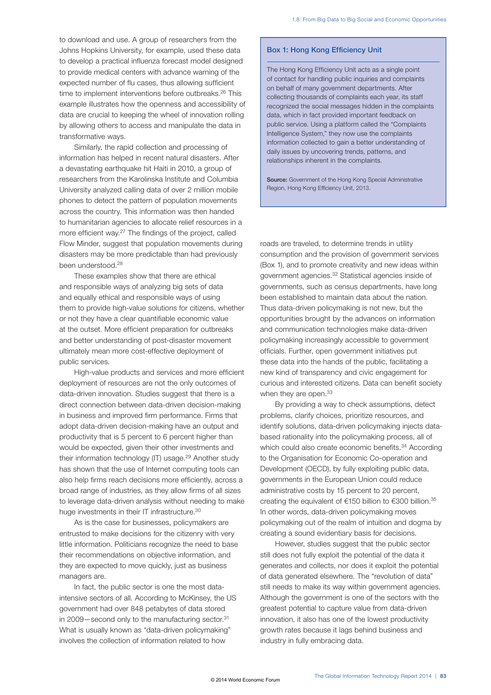to download and use. A group of researchers from the Johns Hopkins University, for example, used these data to develop a practical influenza forecast model designed to provide medical centers with advance warning of the expected number of flu cases, thus allowing sufficient time to implement interventions before outbreaks.<sup>26</sup> This example illustrates how the openness and accessibility of data are crucial to keeping the wheel of innovation rolling by allowing others to access and manipulate the data in transformative ways.

Similarly, the rapid collection and processing of information has helped in recent natural disasters. After a devastating earthquake hit Haiti in 2010, a group of researchers from the Karolinska Institute and Columbia University analyzed calling data of over 2 million mobile phones to detect the pattern of population movements across the country. This information was then handed to humanitarian agencies to allocate relief resources in a more efficient way.27 The findings of the project, called Flow Minder, suggest that population movements during disasters may be more predictable than had previously been understood.28

These examples show that there are ethical and responsible ways of analyzing big sets of data and equally ethical and responsible ways of using them to provide high-value solutions for citizens, whether or not they have a clear quantifiable economic value at the outset. More efficient preparation for outbreaks and better understanding of post-disaster movement ultimately mean more cost-effective deployment of public services.

High-value products and services and more efficient deployment of resources are not the only outcomes of data-driven innovation. Studies suggest that there is a direct connection between data-driven decision-making in business and improved firm performance. Firms that adopt data-driven decision-making have an output and productivity that is 5 percent to 6 percent higher than would be expected, given their other investments and their information technology (IT) usage.<sup>29</sup> Another study has shown that the use of Internet computing tools can also help firms reach decisions more efficiently, across a broad range of industries, as they allow firms of all sizes to leverage data-driven analysis without needing to make huge investments in their IT infrastructure.<sup>30</sup>

As is the case for businesses, policymakers are entrusted to make decisions for the citizenry with very little information. Politicians recognize the need to base their recommendations on objective information, and they are expected to move quickly, just as business managers are.

In fact, the public sector is one the most dataintensive sectors of all. According to McKinsey, the US government had over 848 petabytes of data stored in 2009—second only to the manufacturing sector.<sup>31</sup> What is usually known as "data-driven policymaking" involves the collection of information related to how

### Box 1: Hong Kong Efficiency Unit

The Hong Kong Efficiency Unit acts as a single point of contact for handling public inquiries and complaints on behalf of many government departments. After collecting thousands of complaints each year, its staff recognized the social messages hidden in the complaints data, which in fact provided important feedback on public service. Using a platform called the "Complaints Intelligence System," they now use the complaints information collected to gain a better understanding of daily issues by uncovering trends, patterns, and relationships inherent in the complaints.

Source: Government of the Hong Kong Special Administrative Region, Hong Kong Efficiency Unit, 2013.

roads are traveled, to determine trends in utility consumption and the provision of government services (Box 1), and to promote creativity and new ideas within government agencies.32 Statistical agencies inside of governments, such as census departments, have long been established to maintain data about the nation. Thus data-driven policymaking is not new, but the opportunities brought by the advances on information and communication technologies make data-driven policymaking increasingly accessible to government officials. Further, open government initiatives put these data into the hands of the public, facilitating a new kind of transparency and civic engagement for curious and interested citizens. Data can benefit society when they are open.<sup>33</sup>

By providing a way to check assumptions, detect problems, clarify choices, prioritize resources, and identify solutions, data-driven policymaking injects databased rationality into the policymaking process, all of which could also create economic benefits.<sup>34</sup> According to the Organisation for Economic Co-operation and Development (OECD), by fully exploiting public data, governments in the European Union could reduce administrative costs by 15 percent to 20 percent, creating the equivalent of €150 billion to €300 billion.35 In other words, data-driven policymaking moves policymaking out of the realm of intuition and dogma by creating a sound evidentiary basis for decisions.

However, studies suggest that the public sector still does not fully exploit the potential of the data it generates and collects, nor does it exploit the potential of data generated elsewhere. The "revolution of data" still needs to make its way within government agencies. Although the government is one of the sectors with the greatest potential to capture value from data-driven innovation, it also has one of the lowest productivity growth rates because it lags behind business and industry in fully embracing data.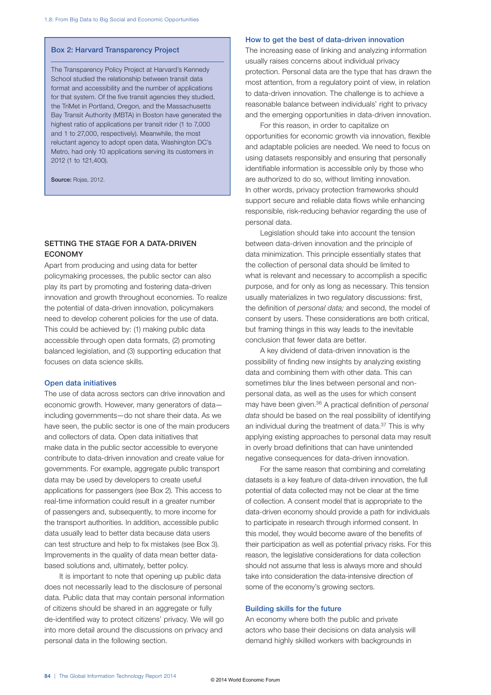#### Box 2: Harvard Transparency Project

The Transparency Policy Project at Harvard's Kennedy School studied the relationship between transit data format and accessibility and the number of applications for that system. Of the five transit agencies they studied, the TriMet in Portland, Oregon, and the Massachusetts Bay Transit Authority (MBTA) in Boston have generated the highest ratio of applications per transit rider (1 to 7,000 and 1 to 27,000, respectively). Meanwhile, the most reluctant agency to adopt open data, Washington DC's Metro, had only 10 applications serving its customers in 2012 (1 to 121,400).

Source: Rojas, 2012.

# SETTING THE STAGE FOR A DATA-DRIVEN **ECONOMY**

Apart from producing and using data for better policymaking processes, the public sector can also play its part by promoting and fostering data-driven innovation and growth throughout economies. To realize the potential of data-driven innovation, policymakers need to develop coherent policies for the use of data. This could be achieved by: (1) making public data accessible through open data formats, (2) promoting balanced legislation, and (3) supporting education that focuses on data science skills.

## Open data initiatives

The use of data across sectors can drive innovation and economic growth. However, many generators of data including governments—do not share their data. As we have seen, the public sector is one of the main producers and collectors of data. Open data initiatives that make data in the public sector accessible to everyone contribute to data-driven innovation and create value for governments. For example, aggregate public transport data may be used by developers to create useful applications for passengers (see Box 2). This access to real-time information could result in a greater number of passengers and, subsequently, to more income for the transport authorities. In addition, accessible public data usually lead to better data because data users can test structure and help to fix mistakes (see Box 3). Improvements in the quality of data mean better databased solutions and, ultimately, better policy.

It is important to note that opening up public data does not necessarily lead to the disclosure of personal data. Public data that may contain personal information of citizens should be shared in an aggregate or fully de-identified way to protect citizens' privacy. We will go into more detail around the discussions on privacy and personal data in the following section.

#### How to get the best of data-driven innovation

The increasing ease of linking and analyzing information usually raises concerns about individual privacy protection. Personal data are the type that has drawn the most attention, from a regulatory point of view, in relation to data-driven innovation. The challenge is to achieve a reasonable balance between individuals' right to privacy and the emerging opportunities in data-driven innovation.

For this reason, in order to capitalize on opportunities for economic growth via innovation, flexible and adaptable policies are needed. We need to focus on using datasets responsibly and ensuring that personally identifiable information is accessible only by those who are authorized to do so, without limiting innovation. In other words, privacy protection frameworks should support secure and reliable data flows while enhancing responsible, risk-reducing behavior regarding the use of personal data.

Legislation should take into account the tension between data-driven innovation and the principle of data minimization. This principle essentially states that the collection of personal data should be limited to what is relevant and necessary to accomplish a specific purpose, and for only as long as necessary. This tension usually materializes in two regulatory discussions: first, the definition of *personal data;* and second, the model of consent by users. These considerations are both critical, but framing things in this way leads to the inevitable conclusion that fewer data are better.

A key dividend of data-driven innovation is the possibility of finding new insights by analyzing existing data and combining them with other data. This can sometimes blur the lines between personal and nonpersonal data, as well as the uses for which consent may have been given.36 A practical definition of *personal data* should be based on the real possibility of identifying an individual during the treatment of data.<sup>37</sup> This is why applying existing approaches to personal data may result in overly broad definitions that can have unintended negative consequences for data-driven innovation.

For the same reason that combining and correlating datasets is a key feature of data-driven innovation, the full potential of data collected may not be clear at the time of collection. A consent model that is appropriate to the data-driven economy should provide a path for individuals to participate in research through informed consent. In this model, they would become aware of the benefits of their participation as well as potential privacy risks. For this reason, the legislative considerations for data collection should not assume that less is always more and should take into consideration the data-intensive direction of some of the economy's growing sectors.

#### Building skills for the future

An economy where both the public and private actors who base their decisions on data analysis will demand highly skilled workers with backgrounds in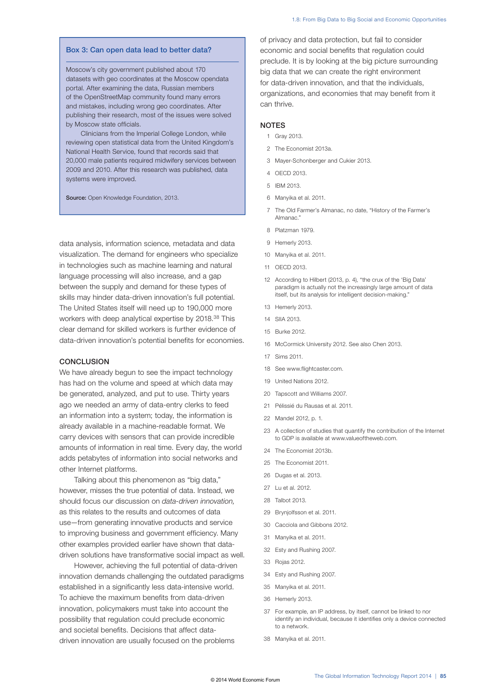#### Box 3: Can open data lead to better data?

Moscow's city government published about 170 datasets with geo coordinates at the Moscow opendata portal. After examining the data, Russian members of the OpenStreetMap community found many errors and mistakes, including wrong geo coordinates. After publishing their research, most of the issues were solved by Moscow state officials.

Clinicians from the Imperial College London, while reviewing open statistical data from the United Kingdom's National Health Service, found that records said that 20,000 male patients required midwifery services between 2009 and 2010. After this research was published, data systems were improved.

Source: Open Knowledge Foundation, 2013.

data analysis, information science, metadata and data visualization. The demand for engineers who specialize in technologies such as machine learning and natural language processing will also increase, and a gap between the supply and demand for these types of skills may hinder data-driven innovation's full potential. The United States itself will need up to 190,000 more workers with deep analytical expertise by 2018.38 This clear demand for skilled workers is further evidence of data-driven innovation's potential benefits for economies.

#### **CONCLUSION**

We have already begun to see the impact technology has had on the volume and speed at which data may be generated, analyzed, and put to use. Thirty years ago we needed an army of data-entry clerks to feed an information into a system; today, the information is already available in a machine-readable format. We carry devices with sensors that can provide incredible amounts of information in real time. Every day, the world adds petabytes of information into social networks and other Internet platforms.

Talking about this phenomenon as "big data," however, misses the true potential of data. Instead, we should focus our discussion on *data-driven innovation,* as this relates to the results and outcomes of data use—from generating innovative products and service to improving business and government efficiency. Many other examples provided earlier have shown that datadriven solutions have transformative social impact as well.

However, achieving the full potential of data-driven innovation demands challenging the outdated paradigms established in a significantly less data-intensive world. To achieve the maximum benefits from data-driven innovation, policymakers must take into account the possibility that regulation could preclude economic and societal benefits. Decisions that affect datadriven innovation are usually focused on the problems

of privacy and data protection, but fail to consider economic and social benefits that regulation could preclude. It is by looking at the big picture surrounding big data that we can create the right environment for data-driven innovation, and that the individuals, organizations, and economies that may benefit from it can thrive.

#### **NOTES**

- 1 Gray 2013.
- 2 The Economist 2013a.
- 3 Mayer-Schonberger and Cukier 2013.
- 4 OECD 2013.
- 5 IBM 2013.
- 6 Manyika et al. 2011.
- 7 The Old Farmer's Almanac, no date, "History of the Farmer's Almanac."
- 8 Platzman 1979.
- 9 Hemerly 2013.
- 10 Manyika et al. 2011.
- 11 OECD 2013.
- 12 According to Hilbert (2013, p. 4), "the crux of the 'Big Data' paradigm is actually not the increasingly large amount of data itself, but its analysis for intelligent decision-making."
- 13 Hemerly 2013.
- 14 SIIA 2013.
- 15 Burke 2012.
- 16 McCormick University 2012. See also Chen 2013.
- 17 Sims 2011.
- 18 See www.flightcaster.com.
- 19 United Nations 2012.
- 20 Tapscott and Williams 2007.
- 21 Pélissié du Rausas et al. 2011.
- 22 Mandel 2012, p. 1.
- 23 A collection of studies that quantify the contribution of the Internet to GDP is available at www.valueoftheweb.com.
- 24 The Economist 2013b.
- 25 The Economist 2011.
- 26 Dugas et al. 2013.
- 27 Lu et al. 2012.
- 28 Talbot 2013.
- 29 Brynjolfsson et al. 2011.
- 30 Cacciola and Gibbons 2012.
- 31 Manyika et al. 2011.
- 32 Esty and Rushing 2007.
- 33 Rojas 2012.
- 34 Esty and Rushing 2007.
- 35 Manyika et al. 2011.
- 36 Hemerly 2013.
- 37 For example, an IP address, by itself, cannot be linked to nor identify an individual, because it identifies only a device connected to a network.
- 38 Manyika et al. 2011.